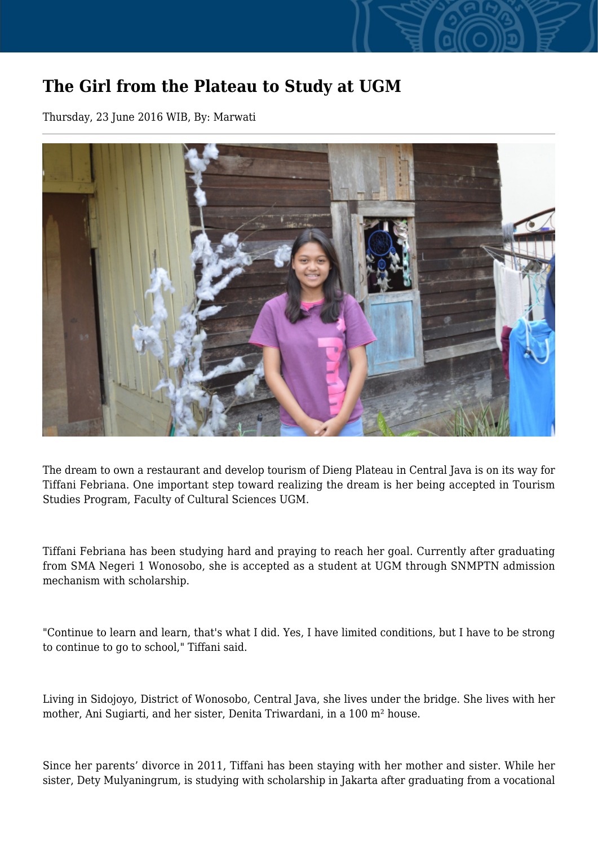## **The Girl from the Plateau to Study at UGM**

Thursday, 23 June 2016 WIB, By: Marwati



The dream to own a restaurant and develop tourism of Dieng Plateau in Central Java is on its way for Tiffani Febriana. One important step toward realizing the dream is her being accepted in Tourism Studies Program, Faculty of Cultural Sciences UGM.

Tiffani Febriana has been studying hard and praying to reach her goal. Currently after graduating from SMA Negeri 1 Wonosobo, she is accepted as a student at UGM through SNMPTN admission mechanism with scholarship.

"Continue to learn and learn, that's what I did. Yes, I have limited conditions, but I have to be strong to continue to go to school," Tiffani said.

Living in Sidojoyo, District of Wonosobo, Central Java, she lives under the bridge. She lives with her mother, Ani Sugiarti, and her sister, Denita Triwardani, in a 100 m² house.

Since her parents' divorce in 2011, Tiffani has been staying with her mother and sister. While her sister, Dety Mulyaningrum, is studying with scholarship in Jakarta after graduating from a vocational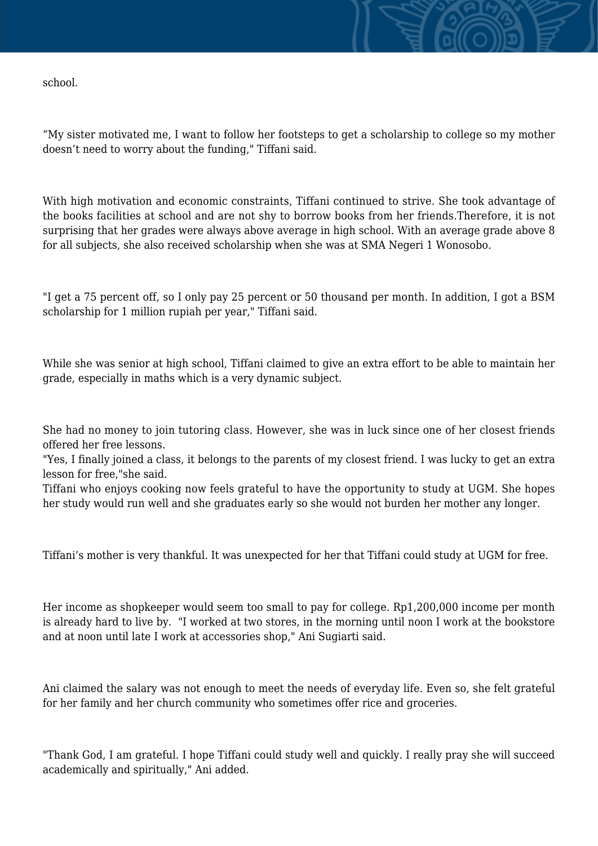school.

"My sister motivated me, I want to follow her footsteps to get a scholarship to college so my mother doesn't need to worry about the funding," Tiffani said.

With high motivation and economic constraints, Tiffani continued to strive. She took advantage of the books facilities at school and are not shy to borrow books from her friends.Therefore, it is not surprising that her grades were always above average in high school. With an average grade above 8 for all subjects, she also received scholarship when she was at SMA Negeri 1 Wonosobo.

"I get a 75 percent off, so I only pay 25 percent or 50 thousand per month. In addition, I got a BSM scholarship for 1 million rupiah per year," Tiffani said.

While she was senior at high school, Tiffani claimed to give an extra effort to be able to maintain her grade, especially in maths which is a very dynamic subject.

She had no money to join tutoring class. However, she was in luck since one of her closest friends offered her free lessons.

"Yes, I finally joined a class, it belongs to the parents of my closest friend. I was lucky to get an extra lesson for free,"she said.

Tiffani who enjoys cooking now feels grateful to have the opportunity to study at UGM. She hopes her study would run well and she graduates early so she would not burden her mother any longer.

Tiffani's mother is very thankful. It was unexpected for her that Tiffani could study at UGM for free.

Her income as shopkeeper would seem too small to pay for college. Rp1,200,000 income per month is already hard to live by. "I worked at two stores, in the morning until noon I work at the bookstore and at noon until late I work at accessories shop," Ani Sugiarti said.

Ani claimed the salary was not enough to meet the needs of everyday life. Even so, she felt grateful for her family and her church community who sometimes offer rice and groceries.

"Thank God, I am grateful. I hope Tiffani could study well and quickly. I really pray she will succeed academically and spiritually," Ani added.